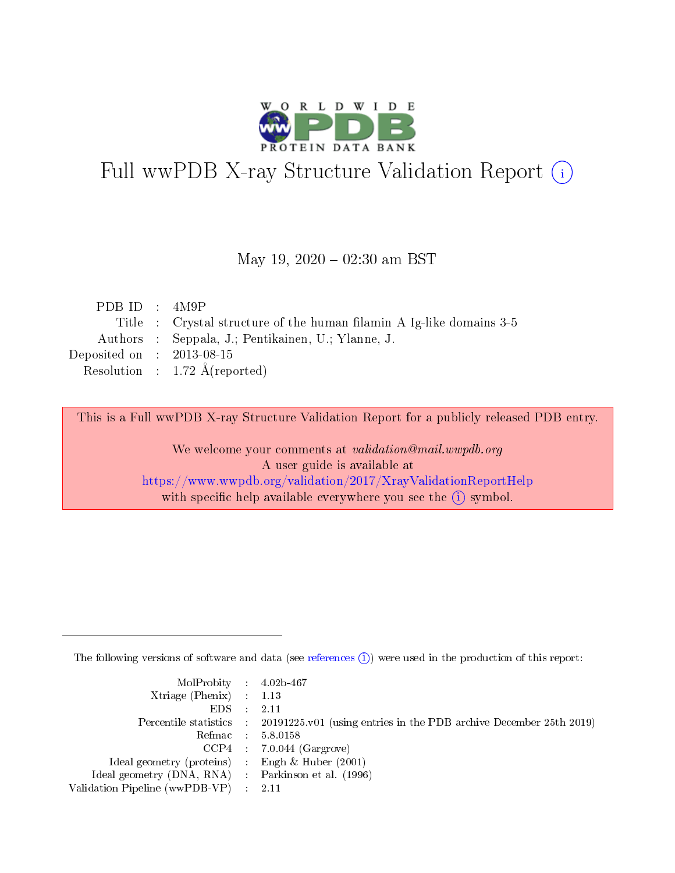

# Full wwPDB X-ray Structure Validation Report (i)

#### May 19,  $2020 - 02:30$  am BST

| PDB ID : $4M9P$             |                                                                      |
|-----------------------------|----------------------------------------------------------------------|
|                             | Title : Crystal structure of the human filamin A Ig-like domains 3-5 |
|                             | Authors : Seppala, J.; Pentikainen, U.; Ylanne, J.                   |
| Deposited on : $2013-08-15$ |                                                                      |
|                             | Resolution : $1.72 \text{ Å}$ (reported)                             |
|                             |                                                                      |

This is a Full wwPDB X-ray Structure Validation Report for a publicly released PDB entry.

We welcome your comments at validation@mail.wwpdb.org A user guide is available at <https://www.wwpdb.org/validation/2017/XrayValidationReportHelp> with specific help available everywhere you see the  $(i)$  symbol.

The following versions of software and data (see [references](https://www.wwpdb.org/validation/2017/XrayValidationReportHelp#references)  $(i)$ ) were used in the production of this report:

| MolProbity : $4.02b-467$                            |                                                                                            |
|-----------------------------------------------------|--------------------------------------------------------------------------------------------|
| Xtriage (Phenix) $: 1.13$                           |                                                                                            |
| EDS -                                               | 2.11                                                                                       |
|                                                     | Percentile statistics : 20191225.v01 (using entries in the PDB archive December 25th 2019) |
|                                                     | Refmac 58.0158                                                                             |
|                                                     | $CCP4$ 7.0.044 (Gargrove)                                                                  |
| Ideal geometry (proteins) : Engh $\&$ Huber (2001)  |                                                                                            |
| Ideal geometry (DNA, RNA) : Parkinson et al. (1996) |                                                                                            |
| Validation Pipeline (wwPDB-VP)                      | -2.11                                                                                      |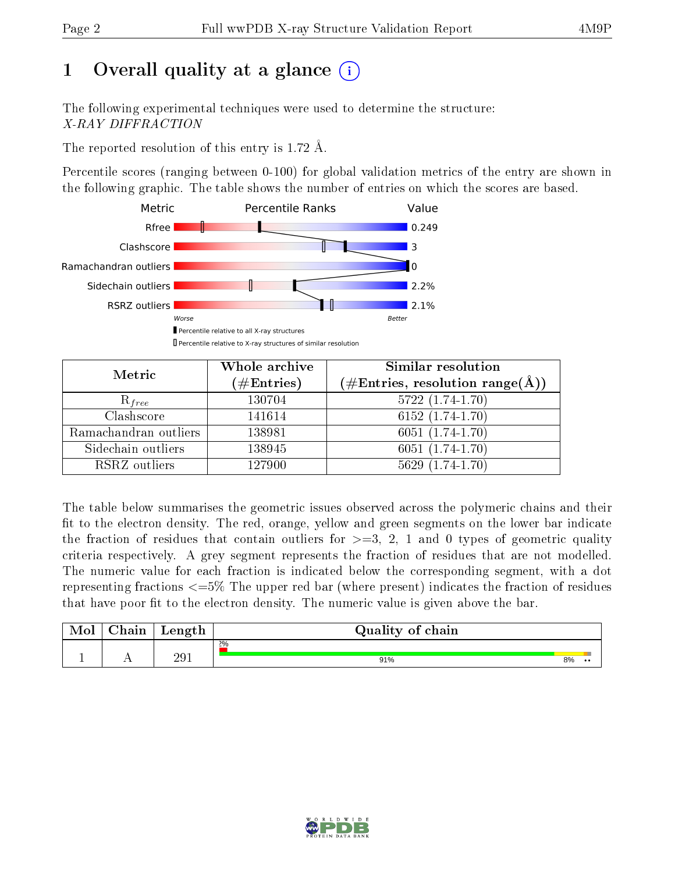# 1 [O](https://www.wwpdb.org/validation/2017/XrayValidationReportHelp#overall_quality)verall quality at a glance  $(i)$

The following experimental techniques were used to determine the structure: X-RAY DIFFRACTION

The reported resolution of this entry is 1.72 Å.

Percentile scores (ranging between 0-100) for global validation metrics of the entry are shown in the following graphic. The table shows the number of entries on which the scores are based.



| Metric                | Whole archive<br>$(\#\mathrm{Entries})$ | <b>Similar resolution</b><br>(#Entries, resolution range(Å)) |
|-----------------------|-----------------------------------------|--------------------------------------------------------------|
| $R_{free}$            | 130704                                  | $5722(1.74-1.70)$                                            |
| Clashscore            | 141614                                  | $6152(1.74-1.70)$                                            |
| Ramachandran outliers | 138981                                  | $6051(1.74-1.70)$                                            |
| Sidechain outliers    | 138945                                  | $6051(1.74-1.70)$                                            |
| RSRZ outliers         | 127900                                  | $5629(1.74-1.70)$                                            |

The table below summarises the geometric issues observed across the polymeric chains and their fit to the electron density. The red, orange, yellow and green segments on the lower bar indicate the fraction of residues that contain outliers for  $>=3, 2, 1$  and 0 types of geometric quality criteria respectively. A grey segment represents the fraction of residues that are not modelled. The numeric value for each fraction is indicated below the corresponding segment, with a dot representing fractions  $\epsilon=5\%$  The upper red bar (where present) indicates the fraction of residues that have poor fit to the electron density. The numeric value is given above the bar.

| Mol | $\cap$ hain | Length | Quality of chain |    |           |  |  |  |
|-----|-------------|--------|------------------|----|-----------|--|--|--|
|     |             |        | 2%               |    |           |  |  |  |
|     |             | 291    | 91%              | 8% | $\bullet$ |  |  |  |

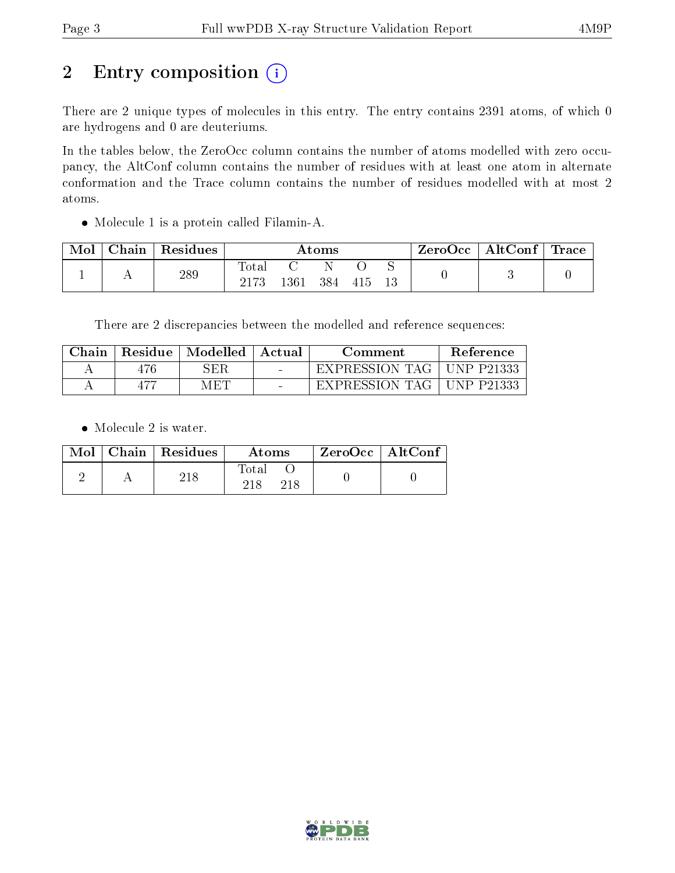## 2 Entry composition (i)

There are 2 unique types of molecules in this entry. The entry contains 2391 atoms, of which 0 are hydrogens and 0 are deuteriums.

In the tables below, the ZeroOcc column contains the number of atoms modelled with zero occupancy, the AltConf column contains the number of residues with at least one atom in alternate conformation and the Trace column contains the number of residues modelled with at most 2 atoms.

Molecule 1 is a protein called Filamin-A.

| Mol | $\perp$ Chain $\perp$ | $^\shortparallel$ Residues | Atoms                   |      |     |     |  | $\text{ZeroOcc} \mid \text{AltConf} \mid \text{Trace}$ |  |
|-----|-----------------------|----------------------------|-------------------------|------|-----|-----|--|--------------------------------------------------------|--|
|     |                       | 289                        | $\rm Total$<br>$2173\,$ | 1361 | 384 | 415 |  |                                                        |  |

There are 2 discrepancies between the modelled and reference sequences:

| Chain | Residue | $\perp$ Modelled | Actual | Comment        | <b>Reference</b> |
|-------|---------|------------------|--------|----------------|------------------|
|       | 476     | ${\rm SER}$      |        | EXPRESSION TAG | UNP P21333       |
|       |         | MET              |        | EXPRESSION TAG | UNP P21333       |

• Molecule 2 is water.

|  | $Mol$   Chain   Residues | Atoms | $ZeroOcc$   AltConf |
|--|--------------------------|-------|---------------------|
|  |                          | Fotal |                     |

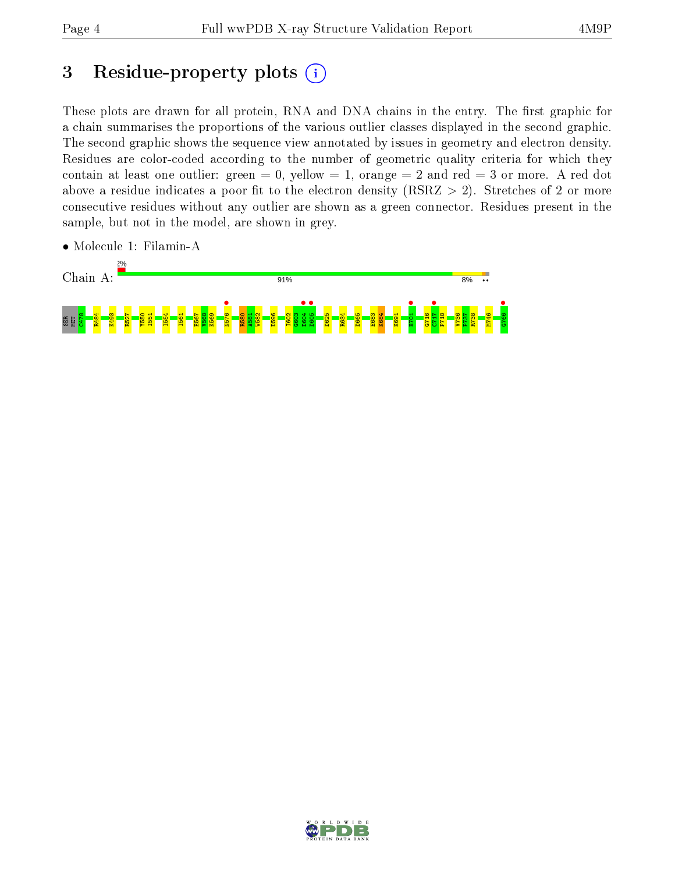## 3 Residue-property plots  $(i)$

These plots are drawn for all protein, RNA and DNA chains in the entry. The first graphic for a chain summarises the proportions of the various outlier classes displayed in the second graphic. The second graphic shows the sequence view annotated by issues in geometry and electron density. Residues are color-coded according to the number of geometric quality criteria for which they contain at least one outlier: green  $= 0$ , yellow  $= 1$ , orange  $= 2$  and red  $= 3$  or more. A red dot above a residue indicates a poor fit to the electron density (RSRZ  $> 2$ ). Stretches of 2 or more consecutive residues without any outlier are shown as a green connector. Residues present in the sample, but not in the model, are shown in grey.



• Molecule 1: Filamin-A

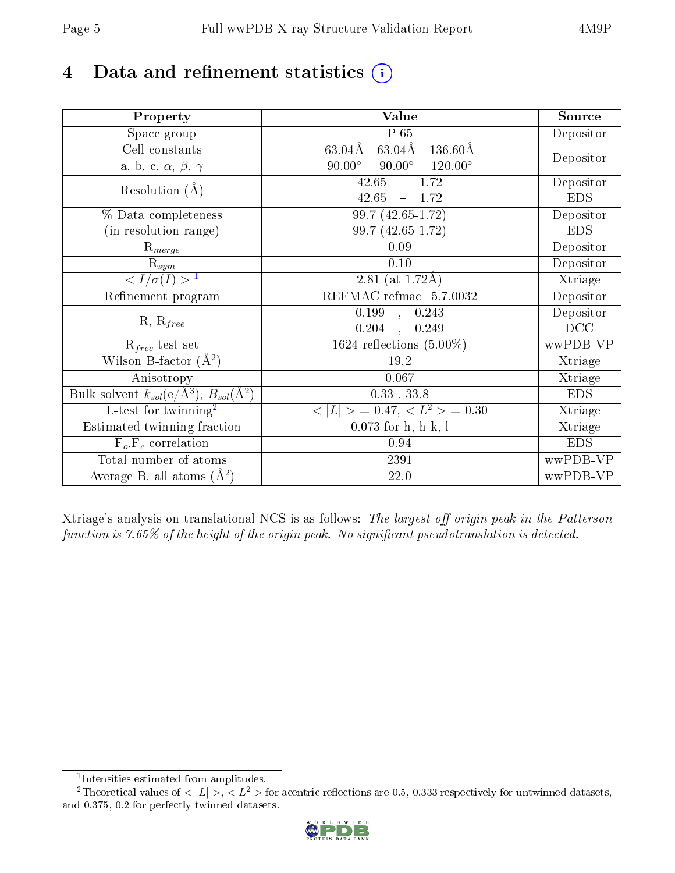# 4 Data and refinement statistics  $(i)$

| Property                                                             | Value                                                    | Source     |
|----------------------------------------------------------------------|----------------------------------------------------------|------------|
| $\overline{\text{Space}}$ group                                      | $P_65$                                                   | Depositor  |
| Cell constants                                                       | $63.04\text{\AA}$<br>$136.60\text{\AA}$<br>63.04Å        |            |
| a, b, c, $\alpha$ , $\beta$ , $\gamma$                               | $90.00^\circ$<br>$90.00^\circ$<br>$120.00^{\circ}$       | Depositor  |
| Resolution $(A)$                                                     | 42.65<br>$-1.72$                                         | Depositor  |
|                                                                      | 42.65<br>$-1.72$                                         | <b>EDS</b> |
| % Data completeness                                                  | $99.7(42.65-1.72)$                                       | Depositor  |
| (in resolution range)                                                | 99.7 (42.65-1.72)                                        | <b>EDS</b> |
| $R_{merge}$                                                          | 0.09                                                     | Depositor  |
| $\mathrm{R}_{sym}$                                                   | 0.10                                                     | Depositor  |
| $\langle I/\sigma(I) \rangle$ <sup>1</sup>                           | 2.81 (at $1.72\text{\AA}$ )                              | Xtriage    |
| Refinement program                                                   | $\overline{\text{REFMAC}\text{refmac}\_\text{5}.7.0032}$ | Depositor  |
|                                                                      | $\overline{0.199}$ ,<br>0.243                            | Depositor  |
| $R, R_{free}$                                                        | 0.249<br>0.204<br>$\ddot{\phantom{a}}$                   | DCC        |
| $R_{free}$ test set                                                  | 1624 reflections $(5.00\%)$                              | wwPDB-VP   |
| Wilson B-factor $(A^2)$                                              | $19.2\,$                                                 | Xtriage    |
| Anisotropy                                                           | 0.067                                                    | Xtriage    |
| Bulk solvent $k_{sol}(e/\mathring{A}^3)$ , $B_{sol}(\mathring{A}^2)$ | $0.33$ , $33.8$                                          | <b>EDS</b> |
| L-test for twinning <sup>2</sup>                                     | $< L >$ = 0.47, $< L2 >$ = 0.30                          | Xtriage    |
| Estimated twinning fraction                                          | $0.073$ for h,-h-k,-l                                    | Xtriage    |
| $F_o, F_c$ correlation                                               | 0.94                                                     | <b>EDS</b> |
| Total number of atoms                                                | 2391                                                     | wwPDB-VP   |
| Average B, all atoms $(A^2)$                                         | 22.0                                                     | wwPDB-VP   |

Xtriage's analysis on translational NCS is as follows: The largest off-origin peak in the Patterson function is  $7.65\%$  of the height of the origin peak. No significant pseudotranslation is detected.

<sup>&</sup>lt;sup>2</sup>Theoretical values of  $\langle |L| \rangle$ ,  $\langle L^2 \rangle$  for acentric reflections are 0.5, 0.333 respectively for untwinned datasets, and 0.375, 0.2 for perfectly twinned datasets.



<span id="page-4-1"></span><span id="page-4-0"></span><sup>1</sup> Intensities estimated from amplitudes.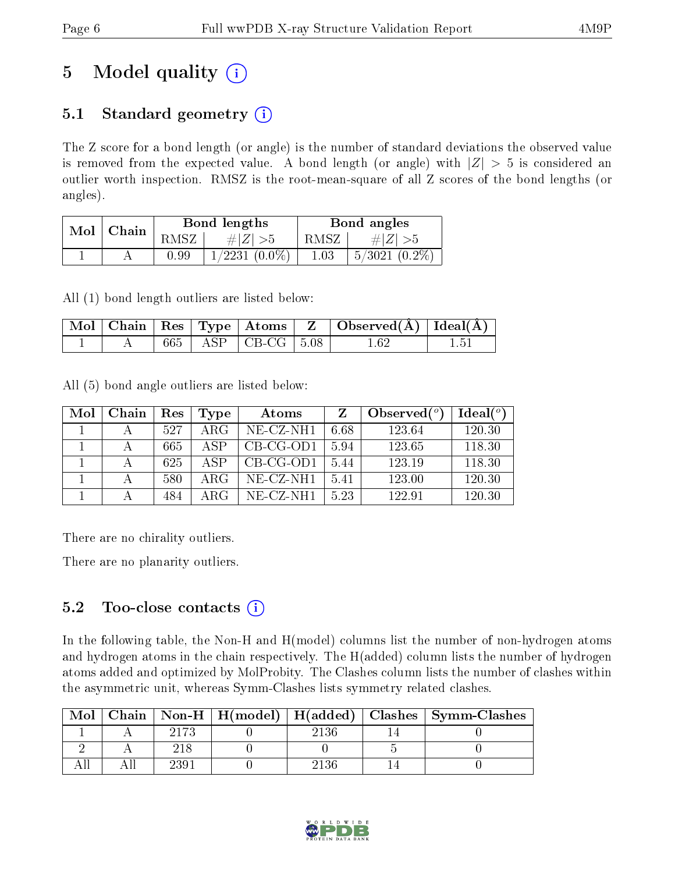# 5 Model quality  $(i)$

### 5.1 Standard geometry  $(i)$

The Z score for a bond length (or angle) is the number of standard deviations the observed value is removed from the expected value. A bond length (or angle) with  $|Z| > 5$  is considered an outlier worth inspection. RMSZ is the root-mean-square of all Z scores of the bond lengths (or angles).

| Mol | Chain |      | Bond lengths       | Bond angles |                    |  |
|-----|-------|------|--------------------|-------------|--------------------|--|
|     |       | RMSZ | $\# Z  > 5$        | RMSZ        | # $ Z  > 5$        |  |
|     |       | 0.99 | $1/2231$ $(0.0\%)$ | 1.03        | $5/3021$ $(0.2\%)$ |  |

All (1) bond length outliers are listed below:

|  |  | $\mathcal{N}$ Mol $\mid$ Chain $\mid$ Res $\mid$ Type $\mid$ Atoms $\mid$ Z $\mid$ | $\Box$ Observed $(\overline{A})$ $\Box$ Ideal( $\overline{A}$ ) |  |
|--|--|------------------------------------------------------------------------------------|-----------------------------------------------------------------|--|
|  |  | 665   ASP   CB-CG   $5.08$                                                         | 1.62                                                            |  |

All (5) bond angle outliers are listed below:

| Mol | Chain | Res | Type       | Atoms        | Z    | Observed $(°)$ | Ideal $(^\circ)$ |
|-----|-------|-----|------------|--------------|------|----------------|------------------|
|     |       | 527 | $\rm{ARG}$ | NE-CZ-NH1    | 6.68 | 123.64         | 120.30           |
|     |       | 665 | A SP       | $CB-CG-OD1$  | 5.94 | 123.65         | 118.30           |
|     |       | 625 | A SP       | $CB-CG-OD1$  | 5.44 | 123.19         | 118.30           |
|     |       | 580 | ARG        | $NE- CZ-NH1$ | 5.41 | 123.00         | 120.30           |
|     |       | 484 | ARG        | NE-CZ-NH1    | 5.23 | 122.91         | 120.30           |

There are no chirality outliers.

There are no planarity outliers.

### $5.2$  Too-close contacts  $(i)$

In the following table, the Non-H and H(model) columns list the number of non-hydrogen atoms and hydrogen atoms in the chain respectively. The H(added) column lists the number of hydrogen atoms added and optimized by MolProbity. The Clashes column lists the number of clashes within the asymmetric unit, whereas Symm-Clashes lists symmetry related clashes.

| Mol |      |      | Chain   Non-H   $H(model)$   $H(added)$   Clashes   Symm-Clashes |
|-----|------|------|------------------------------------------------------------------|
|     | 2173 |      |                                                                  |
|     |      |      |                                                                  |
|     |      | 2136 |                                                                  |

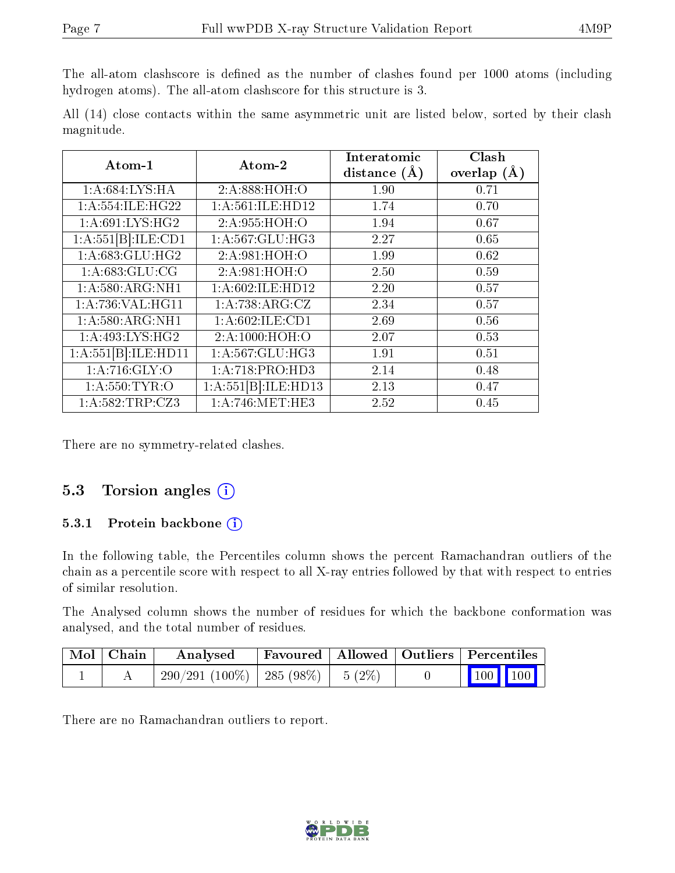The all-atom clashscore is defined as the number of clashes found per 1000 atoms (including hydrogen atoms). The all-atom clashscore for this structure is 3.

All (14) close contacts within the same asymmetric unit are listed below, sorted by their clash magnitude.

| Atom-1                    | Atom-2                       | Interatomic      | Clash         |
|---------------------------|------------------------------|------------------|---------------|
|                           |                              | distance $(\AA)$ | overlap $(A)$ |
| 1:A:684:LYS:HA            | 2:A:888:HOH:O                | 1.90             | 0.71          |
| 1: A: 554: ILE: HG22      | 1: A:561: ILE: HD12          | 1.74             | 0.70          |
| 1: A:691:LYS:HG2          | 2:A:955:HOH:O                | 1.94             | 0.67          |
| $1:A:551[B]\cdot ILE:CD1$ | 1:A:567:GLU:HG3              | 2.27             | 0.65          |
| 1:A:683:GLU:HG2           | 2:A:981:HOH:O                | 1.99             | 0.62          |
| 1: A:683: GLU:CG          | 2:A:981:HOH:O                | 2.50             | 0.59          |
| 1:A:580:ARG:NH1           | 1:A:602:ILE:HD12             | 2.20             | 0.57          |
| 1:A:736:VAL:HG11          | 1:A:738:ARG:CZ               | 2.34             | 0.57          |
| 1: A:580:ARG:NH1          | 1: A:602: ILE: CD1           | 2.69             | 0.56          |
| 1: A:493: LYS: HG2        | 2:A:1000:HOH:O               | 2.07             | 0.53          |
| 1:A:551[B]:ILE:HD11       | 1:A:567:GLU:HG3              | 1.91             | 0.51          |
| 1: A:716: GLY:O           | $1:A:718:PRO:\overline{HD3}$ | 2.14             | 0.48          |
| 1: A:550: TYR:O           | $1:A:551[B].\text{ILE:HD13}$ | 2.13             | 0.47          |
| 1:A:582:TRP:CZ3           | 1: A:746:MET:HE3             | 2.52             | 0.45          |

There are no symmetry-related clashes.

#### 5.3 Torsion angles  $(i)$

#### 5.3.1 Protein backbone  $(i)$

In the following table, the Percentiles column shows the percent Ramachandran outliers of the chain as a percentile score with respect to all X-ray entries followed by that with respect to entries of similar resolution.

The Analysed column shows the number of residues for which the backbone conformation was analysed, and the total number of residues.

| $\mid$ Mol $\mid$ Chain | Analysed                                |  | Favoured   Allowed   Outliers   Percentiles                |
|-------------------------|-----------------------------------------|--|------------------------------------------------------------|
|                         | $290/291(100\%)$   285 (98\%)   5 (2\%) |  | $\begin{array}{ c c c c }\n\hline\n100 & 100\n\end{array}$ |

There are no Ramachandran outliers to report.

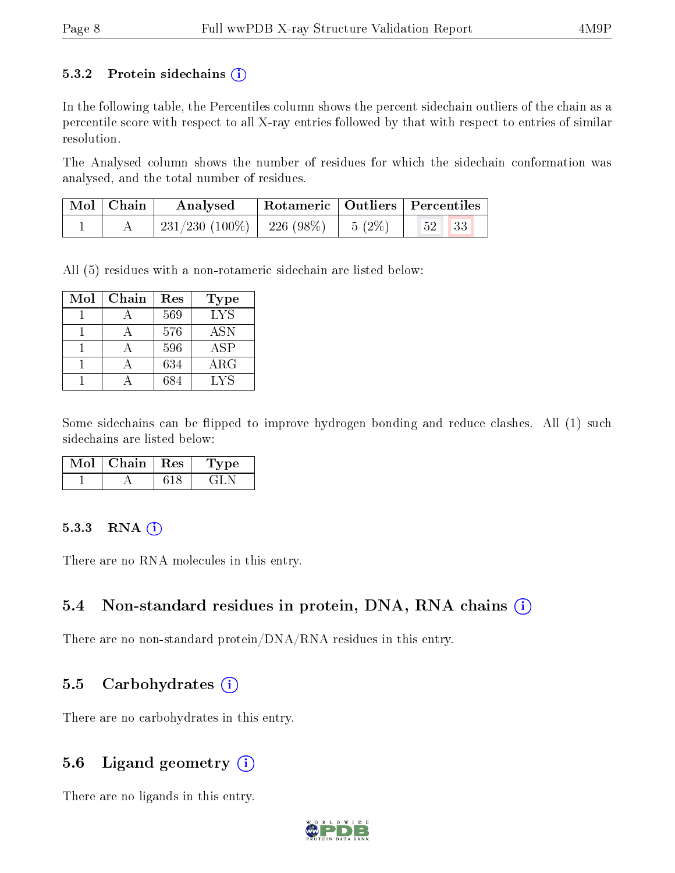#### 5.3.2 Protein sidechains  $(i)$

In the following table, the Percentiles column shows the percent sidechain outliers of the chain as a percentile score with respect to all X-ray entries followed by that with respect to entries of similar resolution.

The Analysed column shows the number of residues for which the sidechain conformation was analysed, and the total number of residues.

| $Mol$   Chain | Analysed                       | $\perp$ Rotameric   Outliers   Percentiles |                    |            |  |
|---------------|--------------------------------|--------------------------------------------|--------------------|------------|--|
|               | $231/230$ (100\%)   226 (98\%) |                                            | $\frac{1}{5}$ (2%) | $52 \, 33$ |  |

All (5) residues with a non-rotameric sidechain are listed below:

| Mol | Chain | Res | Type       |
|-----|-------|-----|------------|
|     |       | 569 | <b>LYS</b> |
|     |       | 576 | <b>ASN</b> |
|     |       | 596 | ASP        |
|     |       | 634 | $\rm{ARG}$ |
|     |       | 684 | LYS        |

Some sidechains can be flipped to improve hydrogen bonding and reduce clashes. All (1) such sidechains are listed below:

| Chain | $\mathbb{R}$ es ' | vpe |
|-------|-------------------|-----|
|       |                   |     |

#### $5.3.3$  RNA  $(i)$

There are no RNA molecules in this entry.

#### 5.4 Non-standard residues in protein, DNA, RNA chains (i)

There are no non-standard protein/DNA/RNA residues in this entry.

#### 5.5 Carbohydrates  $(i)$

There are no carbohydrates in this entry.

#### 5.6 Ligand geometry  $(i)$

There are no ligands in this entry.

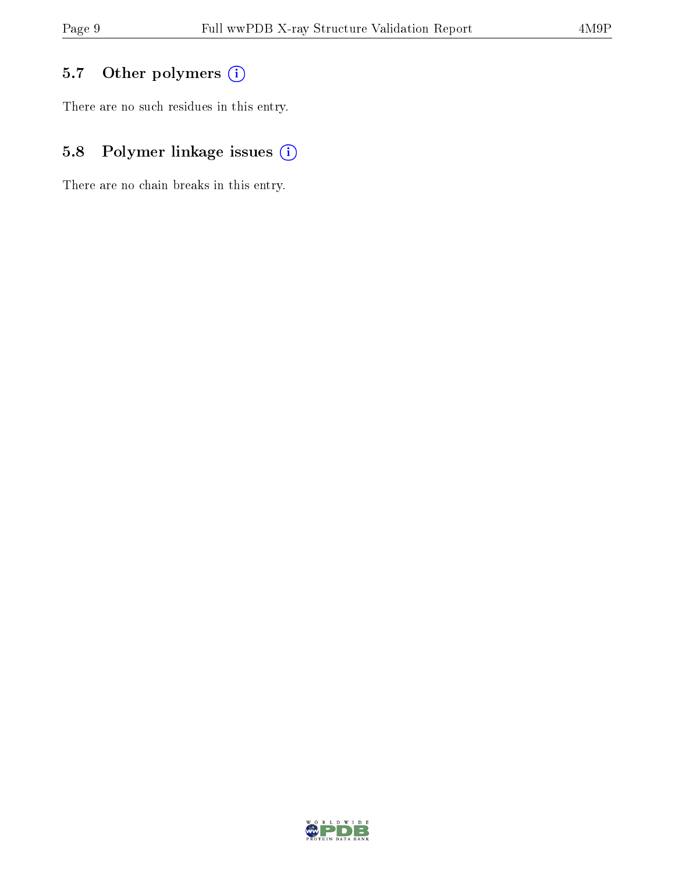### 5.7 [O](https://www.wwpdb.org/validation/2017/XrayValidationReportHelp#nonstandard_residues_and_ligands)ther polymers (i)

There are no such residues in this entry.

### 5.8 Polymer linkage issues (i)

There are no chain breaks in this entry.